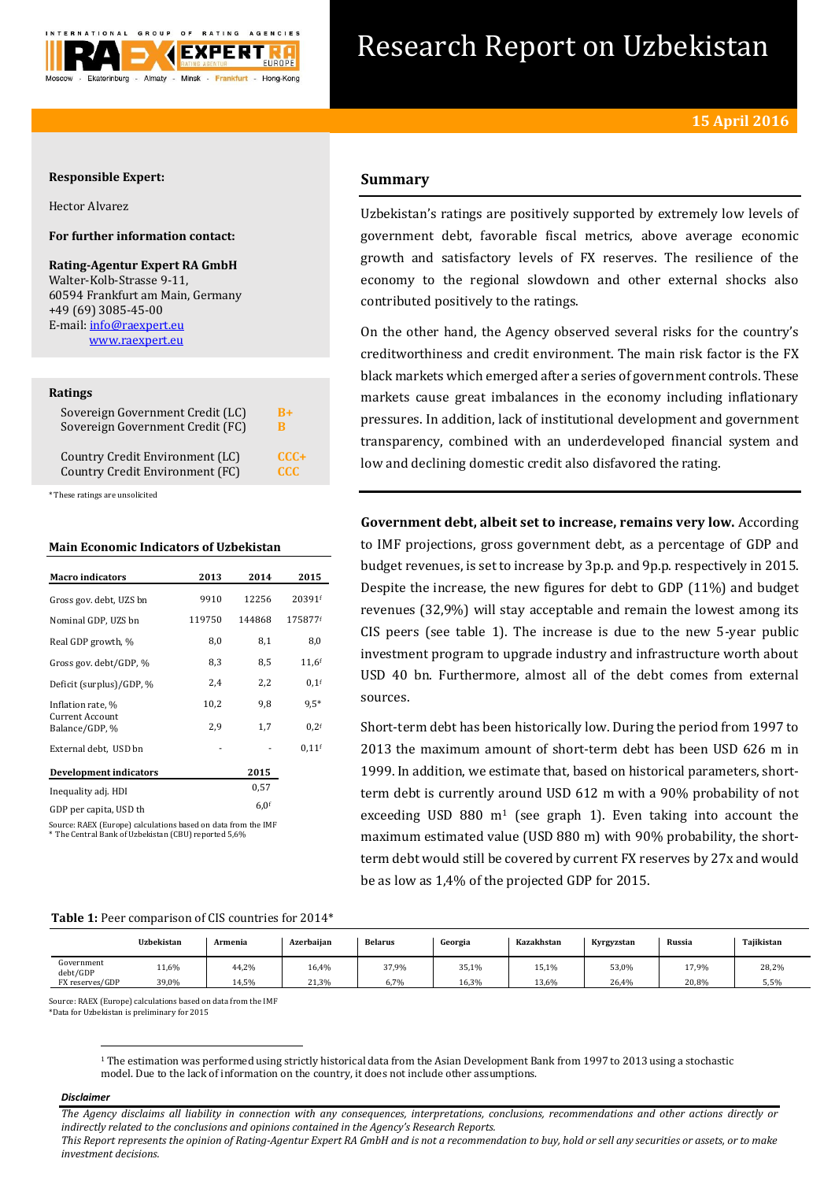

# Research Report on Uzbekistan

## **Responsible Expert:**

Hector Alvarez

# **For further information contact:**

**Rating-Agentur Expert RA GmbH** Walter-Kolb-Strasse 9-11, 60594 Frankfurt am Main, Germany +49 (69) 3085-45-00 E-mail[: info@raexpert.eu](mailto:info@raexpert.eu) [www.raexpert.eu](http://raexpert.eu/)

#### **Ratings**

| Sovereign Government Credit (LC) | $B+$       |
|----------------------------------|------------|
| Sovereign Government Credit (FC) | B          |
| Country Credit Environment (LC)  | $CCC +$    |
| Country Credit Environment (FC)  | <b>CCC</b> |

\* These ratings are unsolicited

## **Main Economic Indicators of Uzbekistan**

| <b>Macro</b> indicators                  | 2013   | 2014             | 2015               |
|------------------------------------------|--------|------------------|--------------------|
| Gross gov. debt. UZS bn                  | 9910   | 12256            | 20391f             |
| Nominal GDP, UZS bn                      | 119750 | 144868           | 175877f            |
| Real GDP growth, %                       | 8,0    | 8,1              | 8,0                |
| Gross gov. debt/GDP, %                   | 8,3    | 8,5              | $11,6$ f           |
| Deficit (surplus)/GDP, %                 | 2,4    | 2,2              | $0,1$ <sup>f</sup> |
| Inflation rate, %                        | 10,2   | 9,8              | $9,5*$             |
| <b>Current Account</b><br>Balance/GDP, % | 2.9    | 1,7              | 0.2 <sup>f</sup>   |
| External debt, USD bn                    |        |                  | $0.11$ f           |
| <b>Development indicators</b>            |        | 2015             |                    |
| Inequality adj. HDI                      |        | 0.57             |                    |
| GDP per capita, USD th                   |        | 6.0 <sup>f</sup> |                    |

Source: RAEX (Europe) calculations based on data from the IMF \* The Central Bank of Uzbekistan (CBU) reported 5,6%

# **Summary**

Uzbekistan's ratings are positively supported by extremely low levels of government debt, favorable fiscal metrics, above average economic growth and satisfactory levels of FX reserves. The resilience of the economy to the regional slowdown and other external shocks also contributed positively to the ratings.

On the other hand, the Agency observed several risks for the country's creditworthiness and credit environment. The main risk factor is the FX black markets which emerged after a series of government controls. These markets cause great imbalances in the economy including inflationary pressures. In addition, lack of institutional development and government transparency, combined with an underdeveloped financial system and low and declining domestic credit also disfavored the rating.

**Government debt, albeit set to increase, remains very low.** According to IMF projections, gross government debt, as a percentage of GDP and budget revenues, is set to increase by 3p.p. and 9p.p. respectively in 2015. Despite the increase, the new figures for debt to GDP (11%) and budget revenues (32,9%) will stay acceptable and remain the lowest among its CIS peers (see table 1). The increase is due to the new 5-year public investment program to upgrade industry and infrastructure worth about USD 40 bn. Furthermore, almost all of the debt comes from external sources.

Short-term debt has been historically low. During the period from 1997 to 2013 the maximum amount of short-term debt has been USD 626 m in 1999. In addition, we estimate that, based on historical parameters, shortterm debt is currently around USD 612 m with a 90% probability of not exceeding USD 880  $m<sup>1</sup>$  (see graph 1). Even taking into account the maximum estimated value (USD 880 m) with 90% probability, the shortterm debt would still be covered by current FX reserves by 27x and would be as low as 1,4% of the projected GDP for 2015.

# **Table 1:** Peer comparison of CIS countries for 2014\*

|                        | Uzbekistan | Armenia | Azerbaiian | <b>Belarus</b> | Georgia | Kazakhstan | Kyrgyzstan | Russia | Tajikistan |
|------------------------|------------|---------|------------|----------------|---------|------------|------------|--------|------------|
| Government<br>debt/GDP | 11,6%      | 44,2%   | 16,4%      | 37,9%          | 35,1%   | 15,1%      | 53,0%      | 17,9%  | 28,2%      |
| FX reserves/GDP        | 39,0%      | 14,5%   | 21,3%      | 6,7%           | 16,3%   | 13,6%      | 26,4%      | 20.8%  | 5,5%       |

Source: RAEX (Europe) calculations based on data from the IMF

\*Data for Uzbekistan is preliminary for 2015

#### *Disclaimer*

 $\overline{a}$ 

*The Agency disclaims all liability in connection with any consequences, interpretations, conclusions, recommendations and other actions directly or indirectly related to the conclusions and opinions contained in the Agency's Research Reports.*

*This Report represents the opinion of Rating-Agentur Expert RA GmbH and is not a recommendation to buy, hold or sell any securities or assets, or to make investment decisions.*

<sup>&</sup>lt;sup>1</sup> The estimation was performed using strictly historical data from the Asian Development Bank from 1997 to 2013 using a stochastic model. Due to the lack of information on the country, it does not include other assumptions.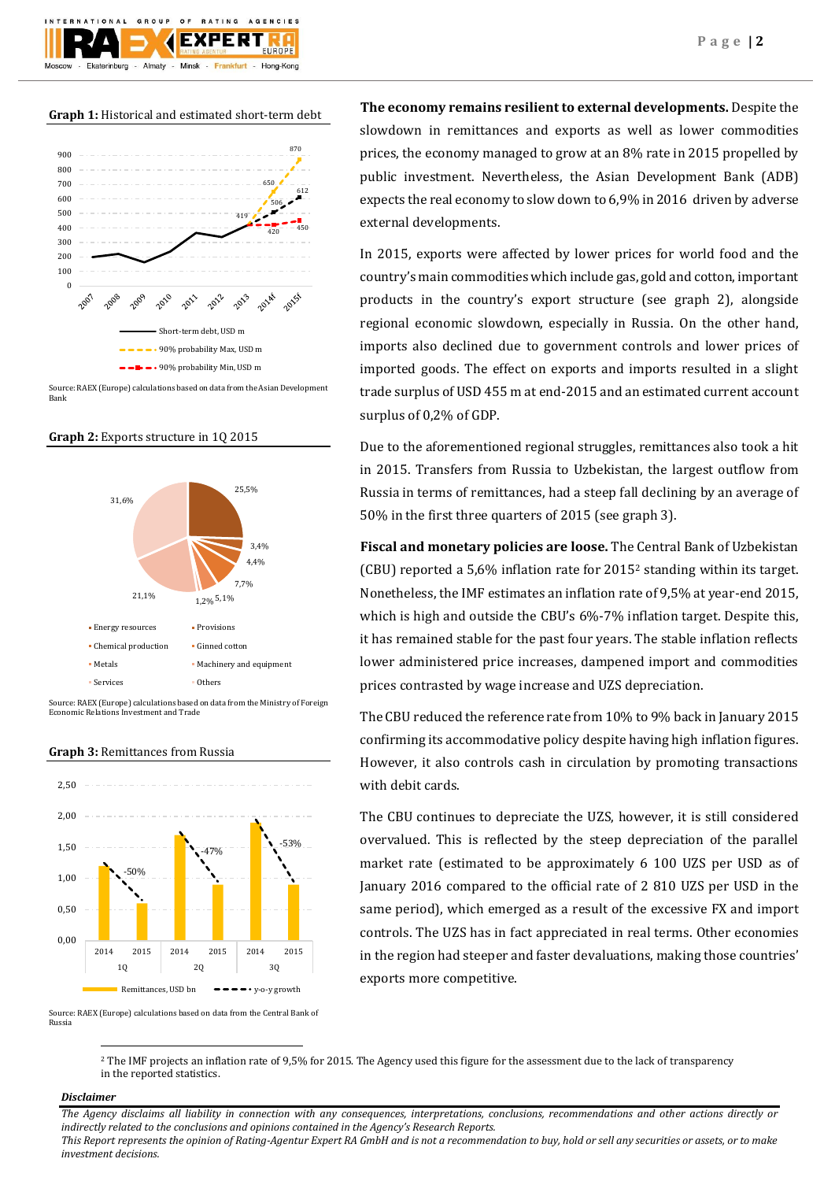## **Graph 1:** Historical and estimated short-term debt

 $O F$ 

Minek

GROUP

Almaty -

**TIONAL** 

Ekaterinburg

**BATING** 

FXPFRT

Frankfurt

AGENCIES

Hong-Kong



Source: RAEX (Europe) calculations based on data from the Asian Development Bank

## **Graph 2:** Exports structure in 1Q 2015



Source: RAEX (Europe) calculations based on data from the Ministry of Foreign Economic Relations Investment and Trade

#### **Graph 3:** Remittances from Russia



Source: RAEX (Europe) calculations based on data from the Central Bank of Russia

**The economy remains resilient to external developments.** Despite the slowdown in remittances and exports as well as lower commodities prices, the economy managed to grow at an 8% rate in 2015 propelled by public investment. Nevertheless, the Asian Development Bank (ADB) expects the real economy to slow down to 6,9% in 2016 driven by adverse external developments.

In 2015, exports were affected by lower prices for world food and the country's main commodities which include gas, gold and cotton, important products in the country's export structure (see graph 2), alongside regional economic slowdown, especially in Russia. On the other hand, imports also declined due to government controls and lower prices of imported goods. The effect on exports and imports resulted in a slight trade surplus of USD 455 m at end-2015 and an estimated current account surplus of 0,2% of GDP.

Due to the aforementioned regional struggles, remittances also took a hit in 2015. Transfers from Russia to Uzbekistan, the largest outflow from Russia in terms of remittances, had a steep fall declining by an average of 50% in the first three quarters of 2015 (see graph 3).

**Fiscal and monetary policies are loose.** The Central Bank of Uzbekistan (CBU) reported a 5,6% inflation rate for 2015<sup>2</sup> standing within its target. Nonetheless, the IMF estimates an inflation rate of 9,5% at year-end 2015, which is high and outside the CBU's 6%-7% inflation target. Despite this, it has remained stable for the past four years. The stable inflation reflects lower administered price increases, dampened import and commodities prices contrasted by wage increase and UZS depreciation.

The CBU reduced the reference rate from 10% to 9% back in January 2015 confirming its accommodative policy despite having high inflation figures. However, it also controls cash in circulation by promoting transactions with debit cards.

The CBU continues to depreciate the UZS, however, it is still considered overvalued. This is reflected by the steep depreciation of the parallel market rate (estimated to be approximately 6 100 UZS per USD as of January 2016 compared to the official rate of 2 810 UZS per USD in the same period), which emerged as a result of the excessive FX and import controls. The UZS has in fact appreciated in real terms. Other economies in the region had steeper and faster devaluations, making those countries' exports more competitive.

<sup>2</sup> The IMF projects an inflation rate of 9,5% for 2015. The Agency used this figure for the assessment due to the lack of transparency in the reported statistics.

## *Disclaimer*

 $\overline{a}$ 

*The Agency disclaims all liability in connection with any consequences, interpretations, conclusions, recommendations and other actions directly or indirectly related to the conclusions and opinions contained in the Agency's Research Reports. This Report represents the opinion of Rating-Agentur Expert RA GmbH and is not a recommendation to buy, hold or sell any securities or assets, or to make investment decisions.*